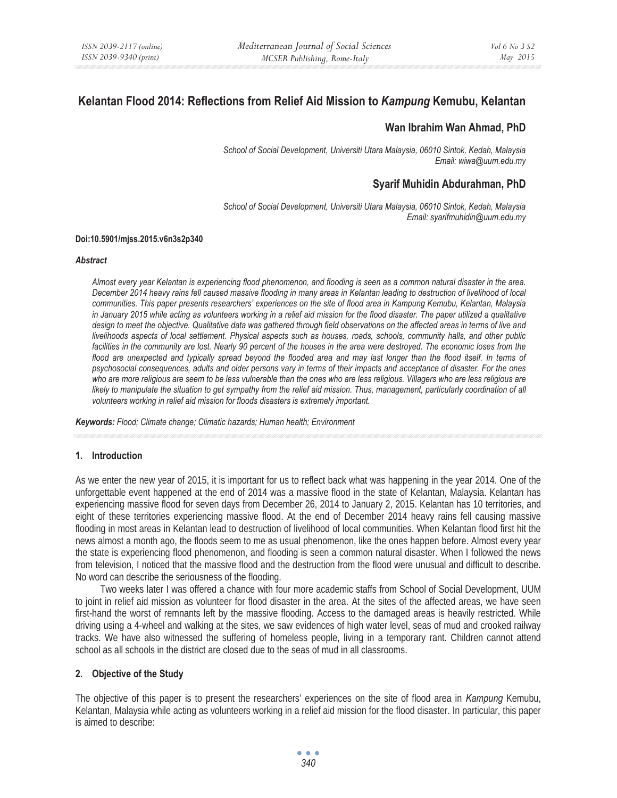# **Kelantan Flood 2014: Reflections from Relief Aid Mission to** *Kampung* **Kemubu, Kelantan**

## **Wan Ibrahim Wan Ahmad, PhD**

*School of Social Development, Universiti Utara Malaysia, 06010 Sintok, Kedah, Malaysia Email: wiwa@uum.edu.my* 

## **Syarif Muhidin Abdurahman, PhD**

*School of Social Development, Universiti Utara Malaysia, 06010 Sintok, Kedah, Malaysia Email: syarifmuhidin@uum.edu.my* 

#### **Doi:10.5901/mjss.2015.v6n3s2p340**

#### *Abstract*

*Almost every year Kelantan is experiencing flood phenomenon, and flooding is seen as a common natural disaster in the area. December 2014 heavy rains fell caused massive flooding in many areas in Kelantan leading to destruction of livelihood of local communities. This paper presents researchers' experiences on the site of flood area in Kampung Kemubu, Kelantan, Malaysia in January 2015 while acting as volunteers working in a relief aid mission for the flood disaster. The paper utilized a qualitative* design to meet the objective. Qualitative data was gathered through field observations on the affected areas in terms of live and *livelihoods aspects of local settlement. Physical aspects such as houses, roads, schools, community halls, and other public*  facilities in the community are lost. Nearly 90 percent of the houses in the area were destroyed. The economic loses from the flood are unexpected and typically spread beyond the flooded area and may last longer than the flood itself. In terms of *psychosocial consequences, adults and older persons vary in terms of their impacts and acceptance of disaster. For the ones*  who are more religious are seem to be less vulnerable than the ones who are less religious. Villagers who are less religious are likely to manipulate the situation to get sympathy from the relief aid mission. Thus, management, particularly coordination of all *volunteers working in relief aid mission for floods disasters is extremely important.* 

*Keywords: Flood; Climate change; Climatic hazards; Human health; Environment*

#### **1. Introduction**

As we enter the new year of 2015, it is important for us to reflect back what was happening in the year 2014. One of the unforgettable event happened at the end of 2014 was a massive flood in the state of Kelantan, Malaysia. Kelantan has experiencing massive flood for seven days from December 26, 2014 to January 2, 2015. Kelantan has 10 territories, and eight of these territories experiencing massive flood. At the end of December 2014 heavy rains fell causing massive flooding in most areas in Kelantan lead to destruction of livelihood of local communities. When Kelantan flood first hit the news almost a month ago, the floods seem to me as usual phenomenon, like the ones happen before. Almost every year the state is experiencing flood phenomenon, and flooding is seen a common natural disaster. When I followed the news from television, I noticed that the massive flood and the destruction from the flood were unusual and difficult to describe. No word can describe the seriousness of the flooding.

Two weeks later I was offered a chance with four more academic staffs from School of Social Development, UUM to joint in relief aid mission as volunteer for flood disaster in the area. At the sites of the affected areas, we have seen first-hand the worst of remnants left by the massive flooding. Access to the damaged areas is heavily restricted. While driving using a 4-wheel and walking at the sites, we saw evidences of high water level, seas of mud and crooked railway tracks. We have also witnessed the suffering of homeless people, living in a temporary rant. Children cannot attend school as all schools in the district are closed due to the seas of mud in all classrooms.

#### **2. Objective of the Study**

The objective of this paper is to present the researchers' experiences on the site of flood area in *Kampung* Kemubu, Kelantan, Malaysia while acting as volunteers working in a relief aid mission for the flood disaster. In particular, this paper is aimed to describe:

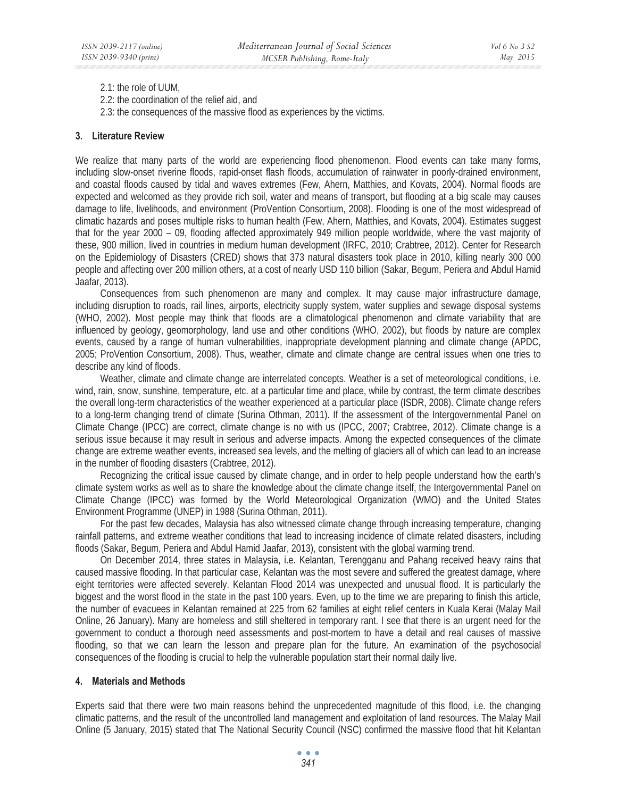- 2.1: the role of UUM,
- 2.2: the coordination of the relief aid, and
- 2.3: the consequences of the massive flood as experiences by the victims.

#### **3. Literature Review**

We realize that many parts of the world are experiencing flood phenomenon. Flood events can take many forms, including slow-onset riverine floods, rapid-onset flash floods, accumulation of rainwater in poorly-drained environment, and coastal floods caused by tidal and waves extremes (Few, Ahern, Matthies, and Kovats, 2004). Normal floods are expected and welcomed as they provide rich soil, water and means of transport, but flooding at a big scale may causes damage to life, livelihoods, and environment (ProVention Consortium, 2008). Flooding is one of the most widespread of climatic hazards and poses multiple risks to human health (Few, Ahern, Matthies, and Kovats, 2004). Estimates suggest that for the year 2000 – 09, flooding affected approximately 949 million people worldwide, where the vast majority of these, 900 million, lived in countries in medium human development (IRFC, 2010; Crabtree, 2012). Center for Research on the Epidemiology of Disasters (CRED) shows that 373 natural disasters took place in 2010, killing nearly 300 000 people and affecting over 200 million others, at a cost of nearly USD 110 billion (Sakar, Begum, Periera and Abdul Hamid Jaafar, 2013).

Consequences from such phenomenon are many and complex. It may cause major infrastructure damage, including disruption to roads, rail lines, airports, electricity supply system, water supplies and sewage disposal systems (WHO, 2002). Most people may think that floods are a climatological phenomenon and climate variability that are influenced by geology, geomorphology, land use and other conditions (WHO, 2002), but floods by nature are complex events, caused by a range of human vulnerabilities, inappropriate development planning and climate change (APDC, 2005; ProVention Consortium, 2008). Thus, weather, climate and climate change are central issues when one tries to describe any kind of floods.

Weather, climate and climate change are interrelated concepts. Weather is a set of meteorological conditions, i.e. wind, rain, snow, sunshine, temperature, etc. at a particular time and place, while by contrast, the term climate describes the overall long-term characteristics of the weather experienced at a particular place (ISDR, 2008). Climate change refers to a long-term changing trend of climate (Surina Othman, 2011). If the assessment of the Intergovernmental Panel on Climate Change (IPCC) are correct, climate change is no with us (IPCC, 2007; Crabtree, 2012). Climate change is a serious issue because it may result in serious and adverse impacts. Among the expected consequences of the climate change are extreme weather events, increased sea levels, and the melting of glaciers all of which can lead to an increase in the number of flooding disasters (Crabtree, 2012).

Recognizing the critical issue caused by climate change, and in order to help people understand how the earth's climate system works as well as to share the knowledge about the climate change itself, the Intergovernmental Panel on Climate Change (IPCC) was formed by the World Meteorological Organization (WMO) and the United States Environment Programme (UNEP) in 1988 (Surina Othman, 2011).

For the past few decades, Malaysia has also witnessed climate change through increasing temperature, changing rainfall patterns, and extreme weather conditions that lead to increasing incidence of climate related disasters, including floods (Sakar, Begum, Periera and Abdul Hamid Jaafar, 2013), consistent with the global warming trend.

On December 2014, three states in Malaysia, i.e. Kelantan, Terengganu and Pahang received heavy rains that caused massive flooding. In that particular case, Kelantan was the most severe and suffered the greatest damage, where eight territories were affected severely. Kelantan Flood 2014 was unexpected and unusual flood. It is particularly the biggest and the worst flood in the state in the past 100 years. Even, up to the time we are preparing to finish this article, the number of evacuees in Kelantan remained at 225 from 62 families at eight relief centers in Kuala Kerai (Malay Mail Online, 26 January). Many are homeless and still sheltered in temporary rant. I see that there is an urgent need for the government to conduct a thorough need assessments and post-mortem to have a detail and real causes of massive flooding, so that we can learn the lesson and prepare plan for the future. An examination of the psychosocial consequences of the flooding is crucial to help the vulnerable population start their normal daily live.

#### **4. Materials and Methods**

Experts said that there were two main reasons behind the unprecedented magnitude of this flood, i.e. the changing climatic patterns, and the result of the uncontrolled land management and exploitation of land resources. The Malay Mail Online (5 January, 2015) stated that The National Security Council (NSC) confirmed the massive flood that hit Kelantan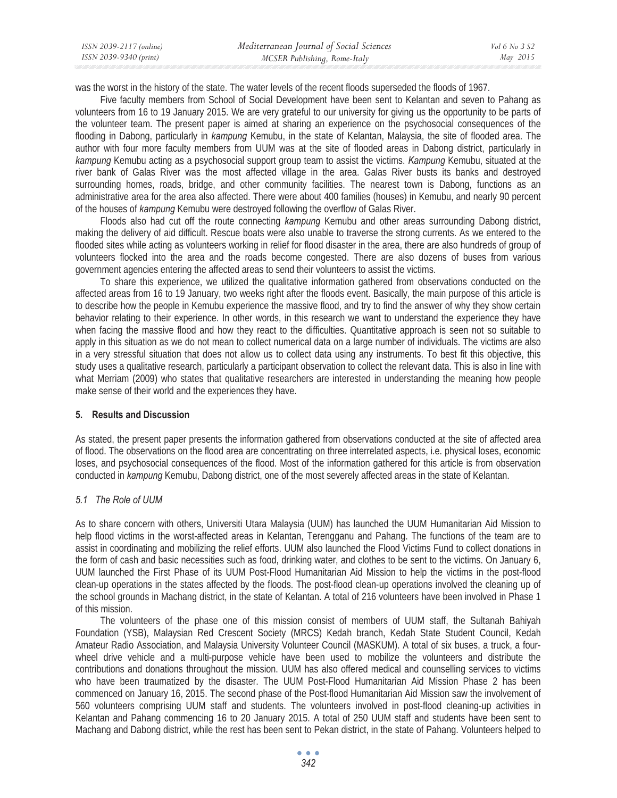| ISSN 2039-2117 (online) | Mediterranean Journal of Social Sciences | Vol 6 No 3 S2 |
|-------------------------|------------------------------------------|---------------|
| ISSN 2039-9340 (print)  | MCSER Publishing, Rome-Italy             | May 2015      |

was the worst in the history of the state. The water levels of the recent floods superseded the floods of 1967.

Five faculty members from School of Social Development have been sent to Kelantan and seven to Pahang as volunteers from 16 to 19 January 2015. We are very grateful to our university for giving us the opportunity to be parts of the volunteer team. The present paper is aimed at sharing an experience on the psychosocial consequences of the flooding in Dabong, particularly in *kampung* Kemubu, in the state of Kelantan, Malaysia, the site of flooded area. The author with four more faculty members from UUM was at the site of flooded areas in Dabong district, particularly in *kampung* Kemubu acting as a psychosocial support group team to assist the victims. *Kampung* Kemubu, situated at the river bank of Galas River was the most affected village in the area. Galas River busts its banks and destroyed surrounding homes, roads, bridge, and other community facilities. The nearest town is Dabong, functions as an administrative area for the area also affected. There were about 400 families (houses) in Kemubu, and nearly 90 percent of the houses of *kampung* Kemubu were destroyed following the overflow of Galas River.

Floods also had cut off the route connecting *kampung* Kemubu and other areas surrounding Dabong district, making the delivery of aid difficult. Rescue boats were also unable to traverse the strong currents. As we entered to the flooded sites while acting as volunteers working in relief for flood disaster in the area, there are also hundreds of group of volunteers flocked into the area and the roads become congested. There are also dozens of buses from various government agencies entering the affected areas to send their volunteers to assist the victims.

To share this experience, we utilized the qualitative information gathered from observations conducted on the affected areas from 16 to 19 January, two weeks right after the floods event. Basically, the main purpose of this article is to describe how the people in Kemubu experience the massive flood, and try to find the answer of why they show certain behavior relating to their experience. In other words, in this research we want to understand the experience they have when facing the massive flood and how they react to the difficulties. Quantitative approach is seen not so suitable to apply in this situation as we do not mean to collect numerical data on a large number of individuals. The victims are also in a very stressful situation that does not allow us to collect data using any instruments. To best fit this objective, this study uses a qualitative research, particularly a participant observation to collect the relevant data. This is also in line with what Merriam (2009) who states that qualitative researchers are interested in understanding the meaning how people make sense of their world and the experiences they have.

#### **5. Results and Discussion**

As stated, the present paper presents the information gathered from observations conducted at the site of affected area of flood. The observations on the flood area are concentrating on three interrelated aspects, i.e. physical loses, economic loses, and psychosocial consequences of the flood. Most of the information gathered for this article is from observation conducted in *kampung* Kemubu, Dabong district, one of the most severely affected areas in the state of Kelantan.

## *5.1 The Role of UUM*

As to share concern with others, Universiti Utara Malaysia (UUM) has launched the UUM Humanitarian Aid Mission to help flood victims in the worst-affected areas in Kelantan, Terengganu and Pahang. The functions of the team are to assist in coordinating and mobilizing the relief efforts. UUM also launched the Flood Victims Fund to collect donations in the form of cash and basic necessities such as food, drinking water, and clothes to be sent to the victims. On January 6, UUM launched the First Phase of its UUM Post-Flood Humanitarian Aid Mission to help the victims in the post-flood clean-up operations in the states affected by the floods. The post-flood clean-up operations involved the cleaning up of the school grounds in Machang district, in the state of Kelantan. A total of 216 volunteers have been involved in Phase 1 of this mission.

The volunteers of the phase one of this mission consist of members of UUM staff, the Sultanah Bahiyah Foundation (YSB), Malaysian Red Crescent Society (MRCS) Kedah branch, Kedah State Student Council, Kedah Amateur Radio Association, and Malaysia University Volunteer Council (MASKUM). A total of six buses, a truck, a fourwheel drive vehicle and a multi-purpose vehicle have been used to mobilize the volunteers and distribute the contributions and donations throughout the mission. UUM has also offered medical and counselling services to victims who have been traumatized by the disaster. The UUM Post-Flood Humanitarian Aid Mission Phase 2 has been commenced on January 16, 2015. The second phase of the Post-flood Humanitarian Aid Mission saw the involvement of 560 volunteers comprising UUM staff and students. The volunteers involved in post-flood cleaning-up activities in Kelantan and Pahang commencing 16 to 20 January 2015. A total of 250 UUM staff and students have been sent to Machang and Dabong district, while the rest has been sent to Pekan district, in the state of Pahang. Volunteers helped to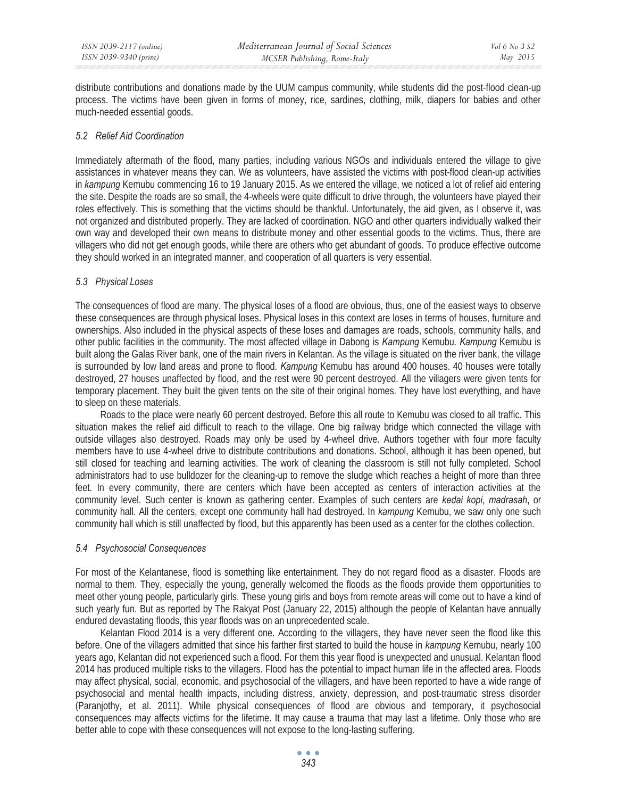distribute contributions and donations made by the UUM campus community, while students did the post-flood clean-up process. The victims have been given in forms of money, rice, sardines, clothing, milk, diapers for babies and other much-needed essential goods.

## *5.2 Relief Aid Coordination*

Immediately aftermath of the flood, many parties, including various NGOs and individuals entered the village to give assistances in whatever means they can. We as volunteers, have assisted the victims with post-flood clean-up activities in *kampung* Kemubu commencing 16 to 19 January 2015. As we entered the village, we noticed a lot of relief aid entering the site. Despite the roads are so small, the 4-wheels were quite difficult to drive through, the volunteers have played their roles effectively. This is something that the victims should be thankful. Unfortunately, the aid given, as I observe it, was not organized and distributed properly. They are lacked of coordination. NGO and other quarters individually walked their own way and developed their own means to distribute money and other essential goods to the victims. Thus, there are villagers who did not get enough goods, while there are others who get abundant of goods. To produce effective outcome they should worked in an integrated manner, and cooperation of all quarters is very essential.

## *5.3 Physical Loses*

The consequences of flood are many. The physical loses of a flood are obvious, thus, one of the easiest ways to observe these consequences are through physical loses. Physical loses in this context are loses in terms of houses, furniture and ownerships. Also included in the physical aspects of these loses and damages are roads, schools, community halls, and other public facilities in the community. The most affected village in Dabong is *Kampung* Kemubu*. Kampung* Kemubu is built along the Galas River bank, one of the main rivers in Kelantan. As the village is situated on the river bank, the village is surrounded by low land areas and prone to flood. *Kampung* Kemubu has around 400 houses. 40 houses were totally destroyed, 27 houses unaffected by flood, and the rest were 90 percent destroyed. All the villagers were given tents for temporary placement. They built the given tents on the site of their original homes. They have lost everything, and have to sleep on these materials.

Roads to the place were nearly 60 percent destroyed. Before this all route to Kemubu was closed to all traffic. This situation makes the relief aid difficult to reach to the village. One big railway bridge which connected the village with outside villages also destroyed. Roads may only be used by 4-wheel drive. Authors together with four more faculty members have to use 4-wheel drive to distribute contributions and donations. School, although it has been opened, but still closed for teaching and learning activities. The work of cleaning the classroom is still not fully completed. School administrators had to use bulldozer for the cleaning-up to remove the sludge which reaches a height of more than three feet. In every community, there are centers which have been accepted as centers of interaction activities at the community level. Such center is known as gathering center. Examples of such centers are *kedai kopi*, *madrasah*, or community hall. All the centers, except one community hall had destroyed. In *kampung* Kemubu, we saw only one such community hall which is still unaffected by flood, but this apparently has been used as a center for the clothes collection.

## *5.4 Psychosocial Consequences*

For most of the Kelantanese, flood is something like entertainment. They do not regard flood as a disaster. Floods are normal to them. They, especially the young, generally welcomed the floods as the floods provide them opportunities to meet other young people, particularly girls. These young girls and boys from remote areas will come out to have a kind of such yearly fun. But as reported by The Rakyat Post (January 22, 2015) although the people of Kelantan have annually endured devastating floods, this year floods was on an unprecedented scale.

Kelantan Flood 2014 is a very different one. According to the villagers, they have never seen the flood like this before. One of the villagers admitted that since his farther first started to build the house in *kampung* Kemubu, nearly 100 years ago, Kelantan did not experienced such a flood. For them this year flood is unexpected and unusual. Kelantan flood 2014 has produced multiple risks to the villagers. Flood has the potential to impact human life in the affected area. Floods may affect physical, social, economic, and psychosocial of the villagers, and have been reported to have a wide range of psychosocial and mental health impacts, including distress, anxiety, depression, and post-traumatic stress disorder (Paranjothy, et al. 2011). While physical consequences of flood are obvious and temporary, it psychosocial consequences may affects victims for the lifetime. It may cause a trauma that may last a lifetime. Only those who are better able to cope with these consequences will not expose to the long-lasting suffering.